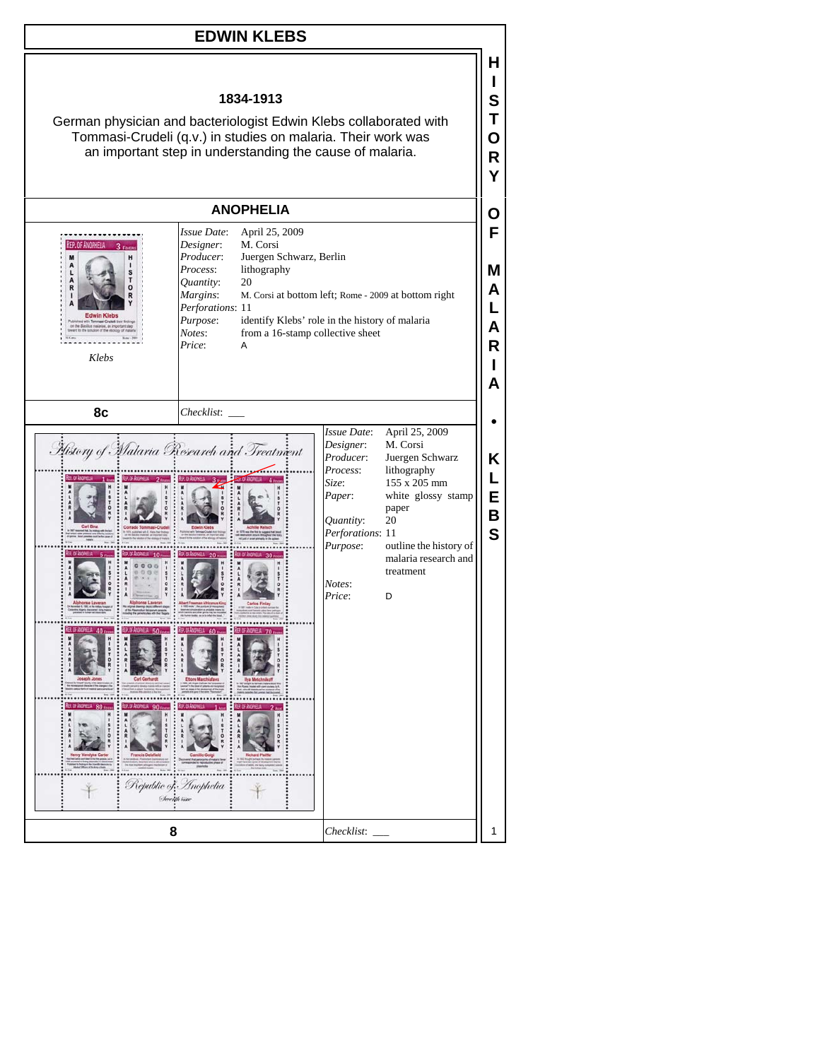